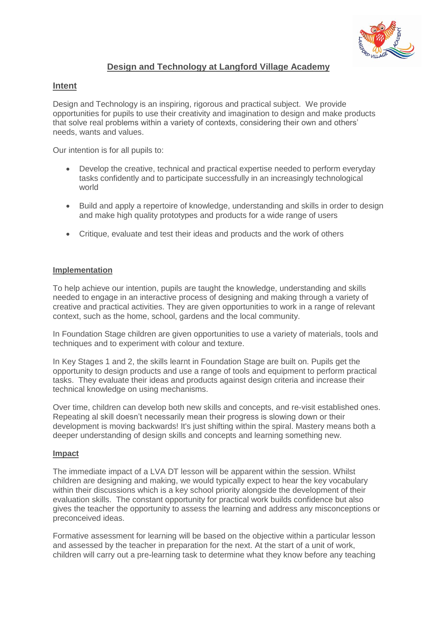

## **Design and Technology at Langford Village Academy**

## **Intent**

Design and Technology is an inspiring, rigorous and practical subject. We provide opportunities for pupils to use their creativity and imagination to design and make products that solve real problems within a variety of contexts, considering their own and others' needs, wants and values.

Our intention is for all pupils to:

- Develop the creative, technical and practical expertise needed to perform everyday tasks confidently and to participate successfully in an increasingly technological world
- Build and apply a repertoire of knowledge, understanding and skills in order to design and make high quality prototypes and products for a wide range of users
- Critique, evaluate and test their ideas and products and the work of others

## **Implementation**

To help achieve our intention, pupils are taught the knowledge, understanding and skills needed to engage in an interactive process of designing and making through a variety of creative and practical activities. They are given opportunities to work in a range of relevant context, such as the home, school, gardens and the local community.

In Foundation Stage children are given opportunities to use a variety of materials, tools and techniques and to experiment with colour and texture.

In Key Stages 1 and 2, the skills learnt in Foundation Stage are built on. Pupils get the opportunity to design products and use a range of tools and equipment to perform practical tasks. They evaluate their ideas and products against design criteria and increase their technical knowledge on using mechanisms.

Over time, children can develop both new skills and concepts, and re-visit established ones. Repeating al skill doesn't necessarily mean their progress is slowing down or their development is moving backwards! It's just shifting within the spiral. Mastery means both a deeper understanding of design skills and concepts and learning something new.

## **Impact**

The immediate impact of a LVA DT lesson will be apparent within the session. Whilst children are designing and making, we would typically expect to hear the key vocabulary within their discussions which is a key school priority alongside the development of their evaluation skills. The constant opportunity for practical work builds confidence but also gives the teacher the opportunity to assess the learning and address any misconceptions or preconceived ideas.

Formative assessment for learning will be based on the objective within a particular lesson and assessed by the teacher in preparation for the next. At the start of a unit of work, children will carry out a pre-learning task to determine what they know before any teaching